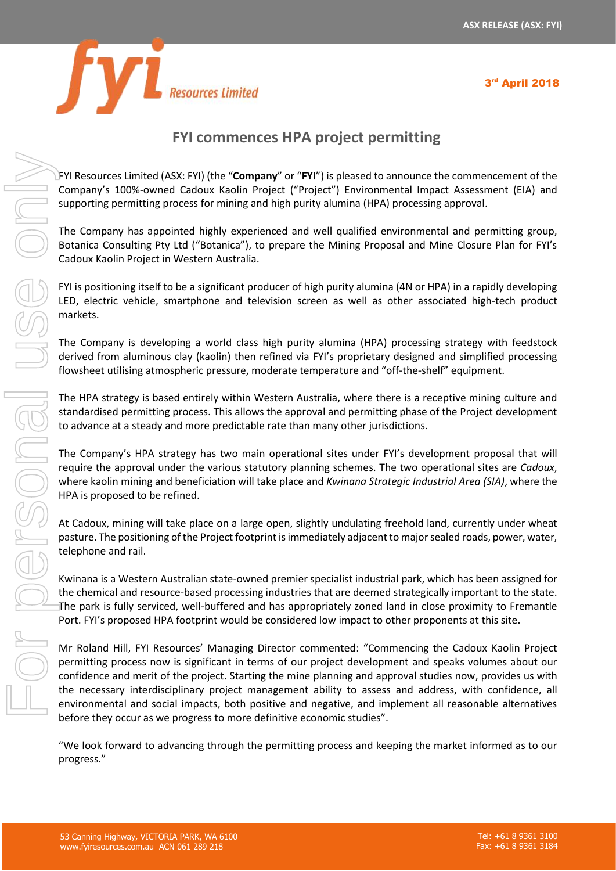



## **FYI commences HPA project permitting**

FYI Resources Limited (ASX: FYI) (the "**Company**" or "**FYI**") is pleased to announce the commencement of the Company's 100%-owned Cadoux Kaolin Project ("Project") Environmental Impact Assessment (EIA) and supporting permitting process for mining and high purity alumina (HPA) processing approval.

The Company has appointed highly experienced and well qualified environmental and permitting group, Botanica Consulting Pty Ltd ("Botanica"), to prepare the Mining Proposal and Mine Closure Plan for FYI's Cadoux Kaolin Project in Western Australia.

FYI is positioning itself to be a significant producer of high purity alumina (4N or HPA) in a rapidly developing LED, electric vehicle, smartphone and television screen as well as other associated high-tech product markets.

The Company is developing a world class high purity alumina (HPA) processing strategy with feedstock derived from aluminous clay (kaolin) then refined via FYI's proprietary designed and simplified processing flowsheet utilising atmospheric pressure, moderate temperature and "off-the-shelf" equipment.

The HPA strategy is based entirely within Western Australia, where there is a receptive mining culture and standardised permitting process. This allows the approval and permitting phase of the Project development to advance at a steady and more predictable rate than many other jurisdictions.

The Company's HPA strategy has two main operational sites under FYI's development proposal that will require the approval under the various statutory planning schemes. The two operational sites are *Cadoux*, where kaolin mining and beneficiation will take place and *Kwinana Strategic Industrial Area (SIA)*, where the HPA is proposed to be refined.

At Cadoux, mining will take place on a large open, slightly undulating freehold land, currently under wheat pasture. The positioning of the Project footprint is immediately adjacent to major sealed roads, power, water, telephone and rail.

Kwinana is a Western Australian state-owned premier specialist industrial park, which has been assigned for the chemical and resource-based processing industries that are deemed strategically important to the state. The park is fully serviced, well-buffered and has appropriately zoned land in close proximity to Fremantle Port. FYI's proposed HPA footprint would be considered low impact to other proponents at this site.

Mr Roland Hill, FYI Resources' Managing Director commented: "Commencing the Cadoux Kaolin Project permitting process now is significant in terms of our project development and speaks volumes about our confidence and merit of the project. Starting the mine planning and approval studies now, provides us with the necessary interdisciplinary project management ability to assess and address, with confidence, all environmental and social impacts, both positive and negative, and implement all reasonable alternatives before they occur as we progress to more definitive economic studies".

"We look forward to advancing through the permitting process and keeping the market informed as to our progress."